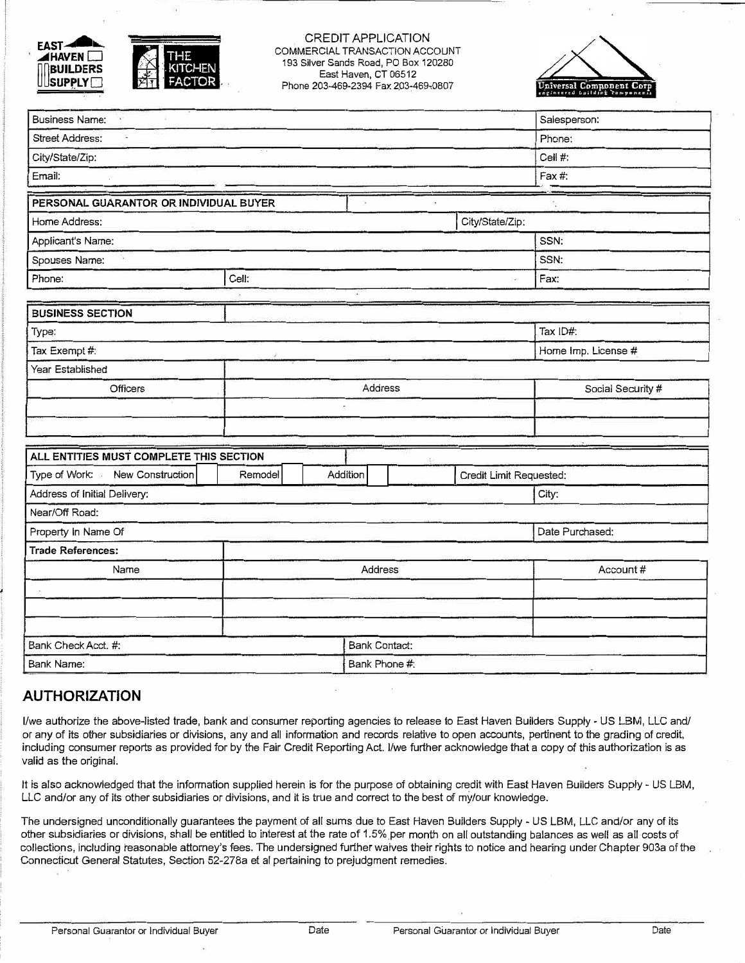



## CREDIT APPLICATION COMMERCIAL TRANSACTION ACCOUNT 193 Silver Sands Road, PO Box 120280 East Haven, CT 06512 Phone 203-469-2394 Fax 203-469-0807



| <b>Business Name:</b><br>a)             |         |                                     |                      |  |                     | Salesperson:      |  |
|-----------------------------------------|---------|-------------------------------------|----------------------|--|---------------------|-------------------|--|
| <b>Street Address:</b>                  |         |                                     |                      |  | Phone:              |                   |  |
| City/State/Zip:                         |         |                                     |                      |  | Cell #:             |                   |  |
| Email:                                  |         |                                     |                      |  | Fax #:              |                   |  |
| PERSONAL GUARANTOR OR INDIVIDUAL BUYER  |         |                                     |                      |  |                     |                   |  |
| Home Address:                           |         |                                     |                      |  | City/State/Zip:     |                   |  |
| Applicant's Name:                       |         |                                     |                      |  | SSN:                |                   |  |
| Spouses Name:                           |         |                                     |                      |  |                     | SSN:              |  |
| Phone:                                  | Cell:   |                                     |                      |  | Fax:                |                   |  |
|                                         |         |                                     |                      |  |                     |                   |  |
| <b>BUSINESS SECTION</b>                 |         |                                     |                      |  |                     |                   |  |
| Type:                                   |         |                                     |                      |  | Tax ID#:            |                   |  |
| Tax Exempt #:                           |         |                                     |                      |  | Home Imp. License # |                   |  |
| Year Established                        |         |                                     |                      |  |                     |                   |  |
| Officers                                | Address |                                     |                      |  |                     | Social Security # |  |
| $\bar{a}$                               |         |                                     |                      |  |                     |                   |  |
|                                         |         |                                     |                      |  |                     |                   |  |
| ALL ENTITIES MUST COMPLETE THIS SECTION |         |                                     |                      |  |                     |                   |  |
| Type of Work: New Construction          | Remodel | Addition<br>Credit Limit Requested: |                      |  |                     |                   |  |
| Address of Initial Delivery:            |         |                                     |                      |  |                     | City:             |  |
| Near/Off Road:                          |         |                                     |                      |  |                     |                   |  |
| Property In Name Of                     |         |                                     |                      |  |                     | Date Purchased:   |  |
| <b>Trade References:</b>                |         |                                     |                      |  |                     |                   |  |
| Name                                    | Address |                                     |                      |  | Account#            |                   |  |
|                                         |         |                                     |                      |  |                     |                   |  |
|                                         |         |                                     |                      |  |                     |                   |  |
|                                         |         |                                     |                      |  |                     |                   |  |
| Bank Check Acct. #:                     |         |                                     | <b>Bank Contact:</b> |  |                     |                   |  |
| <b>Bank Name:</b>                       |         |                                     | Bank Phone #:        |  |                     |                   |  |

## **AUTHORIZATION**

I/we authorize the above-listed trade, bank and consumer reporting agencies to release to East Haven Builders Supply- US LBM, LLC and/ or any of its other subsidiaries or divisions, any and all information and records relative to open accounts, pertinent to the grading of credit, including consumer reports as provided for by the Fair Credit Reporting Act. I/we further acknowledge that a copy of this authorization is as valid as the original.

It is also acknowledged that the information supplied herein is for the purpose of obtaining credit with East Haven Builders Supply - US LBM, LLC and/or any of its other subsidiaries or divisions, and it is true and correct to the best of mY/our knowledge.

The undersigned unconditionally guarantees the payment of all sums due to East Haven Builders Supply - US LBM, LLC and/or any of its other subsidiaries or divisions, shall be entitled to interest at the rate of 1.5% per month on all outstanding balances as well as all costs of collections, including reasonable attorney's fees. The undersigned further waives their rights to notice and hearing under Chapter 903a of the Connecticut General Statutes, Section 52-278a et al pertaining to prejudgment remedies.